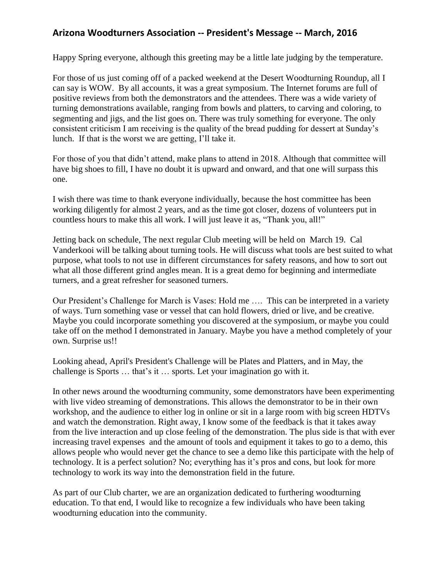## **Arizona Woodturners Association -- President's Message -- March, 2016**

Happy Spring everyone, although this greeting may be a little late judging by the temperature.

For those of us just coming off of a packed weekend at the Desert Woodturning Roundup, all I can say is WOW. By all accounts, it was a great symposium. The Internet forums are full of positive reviews from both the demonstrators and the attendees. There was a wide variety of turning demonstrations available, ranging from bowls and platters, to carving and coloring, to segmenting and jigs, and the list goes on. There was truly something for everyone. The only consistent criticism I am receiving is the quality of the bread pudding for dessert at Sunday's lunch. If that is the worst we are getting, I'll take it.

For those of you that didn't attend, make plans to attend in 2018. Although that committee will have big shoes to fill, I have no doubt it is upward and onward, and that one will surpass this one.

I wish there was time to thank everyone individually, because the host committee has been working diligently for almost 2 years, and as the time got closer, dozens of volunteers put in countless hours to make this all work. I will just leave it as, "Thank you, all!"

Jetting back on schedule, The next regular Club meeting will be held on March 19. Cal Vanderkooi will be talking about turning tools. He will discuss what tools are best suited to what purpose, what tools to not use in different circumstances for safety reasons, and how to sort out what all those different grind angles mean. It is a great demo for beginning and intermediate turners, and a great refresher for seasoned turners.

Our President's Challenge for March is Vases: Hold me …. This can be interpreted in a variety of ways. Turn something vase or vessel that can hold flowers, dried or live, and be creative. Maybe you could incorporate something you discovered at the symposium, or maybe you could take off on the method I demonstrated in January. Maybe you have a method completely of your own. Surprise us!!

Looking ahead, April's President's Challenge will be Plates and Platters, and in May, the challenge is Sports … that's it … sports. Let your imagination go with it.

In other news around the woodturning community, some demonstrators have been experimenting with live video streaming of demonstrations. This allows the demonstrator to be in their own workshop, and the audience to either log in online or sit in a large room with big screen HDTVs and watch the demonstration. Right away, I know some of the feedback is that it takes away from the live interaction and up close feeling of the demonstration. The plus side is that with ever increasing travel expenses and the amount of tools and equipment it takes to go to a demo, this allows people who would never get the chance to see a demo like this participate with the help of technology. It is a perfect solution? No; everything has it's pros and cons, but look for more technology to work its way into the demonstration field in the future.

As part of our Club charter, we are an organization dedicated to furthering woodturning education. To that end, I would like to recognize a few individuals who have been taking woodturning education into the community.